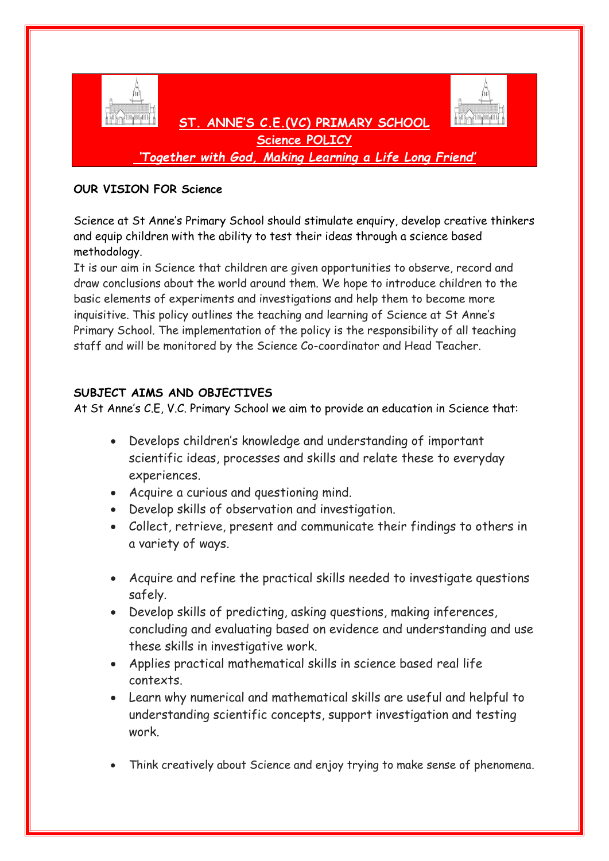

*'Together with God, Making Learning a Life Long Friend'*

## **OUR VISION FOR Science**

Science at St Anne's Primary School should stimulate enquiry, develop creative thinkers and equip children with the ability to test their ideas through a science based methodology.

It is our aim in Science that children are given opportunities to observe, record and draw conclusions about the world around them. We hope to introduce children to the basic elements of experiments and investigations and help them to become more inquisitive. This policy outlines the teaching and learning of Science at St Anne's Primary School. The implementation of the policy is the responsibility of all teaching staff and will be monitored by the Science Co-coordinator and Head Teacher.

# **SUBJECT AIMS AND OBJECTIVES**

At St Anne's C.E, V.C. Primary School we aim to provide an education in Science that:

- Develops children's knowledge and understanding of important scientific ideas, processes and skills and relate these to everyday experiences.
- Acquire a curious and questioning mind.
- Develop skills of observation and investigation.
- Collect, retrieve, present and communicate their findings to others in a variety of ways.
- Acquire and refine the practical skills needed to investigate questions safely.
- Develop skills of predicting, asking questions, making inferences, concluding and evaluating based on evidence and understanding and use these skills in investigative work.
- Applies practical mathematical skills in science based real life contexts.
- Learn why numerical and mathematical skills are useful and helpful to understanding scientific concepts, support investigation and testing work.
- Think creatively about Science and enjoy trying to make sense of phenomena.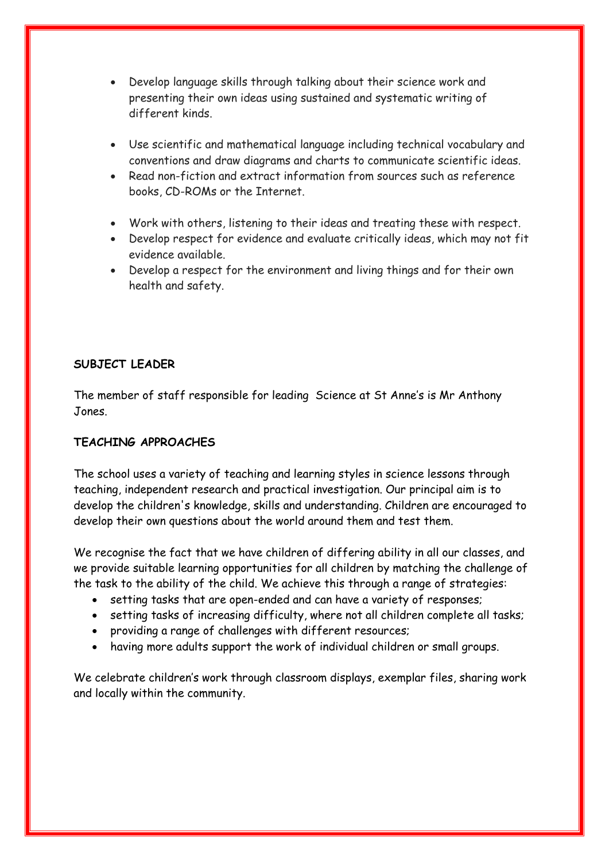- Develop language skills through talking about their science work and presenting their own ideas using sustained and systematic writing of different kinds.
- Use scientific and mathematical language including technical vocabulary and conventions and draw diagrams and charts to communicate scientific ideas.
- Read non-fiction and extract information from sources such as reference books, CD-ROMs or the Internet.
- Work with others, listening to their ideas and treating these with respect.
- Develop respect for evidence and evaluate critically ideas, which may not fit evidence available.
- Develop a respect for the environment and living things and for their own health and safety.

# **SUBJECT LEADER**

The member of staff responsible for leading Science at St Anne's is Mr Anthony Jones.

# **TEACHING APPROACHES**

The school uses a variety of teaching and learning styles in science lessons through teaching, independent research and practical investigation. Our principal aim is to develop the children's knowledge, skills and understanding. Children are encouraged to develop their own questions about the world around them and test them.

We recognise the fact that we have children of differing ability in all our classes, and we provide suitable learning opportunities for all children by matching the challenge of the task to the ability of the child. We achieve this through a range of strategies:

- setting tasks that are open-ended and can have a variety of responses;
- setting tasks of increasing difficulty, where not all children complete all tasks;
- providing a range of challenges with different resources;
- having more adults support the work of individual children or small groups.

We celebrate children's work through classroom displays, exemplar files, sharing work and locally within the community.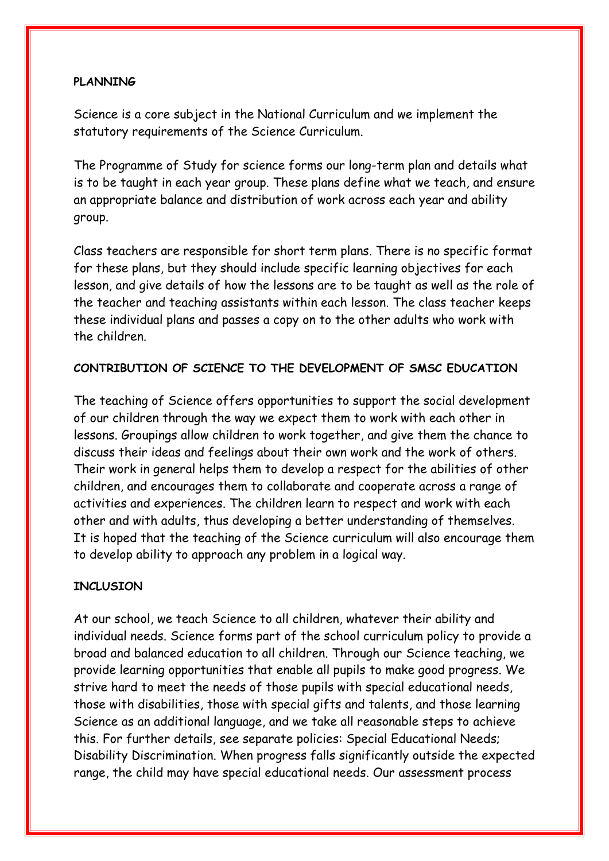# **PLANNING**

Science is a core subject in the National Curriculum and we implement the statutory requirements of the Science Curriculum.

The Programme of Study for science forms our long-term plan and details what is to be taught in each year group. These plans define what we teach, and ensure an appropriate balance and distribution of work across each year and ability group.

Class teachers are responsible for short term plans. There is no specific format for these plans, but they should include specific learning objectives for each lesson, and give details of how the lessons are to be taught as well as the role of the teacher and teaching assistants within each lesson. The class teacher keeps these individual plans and passes a copy on to the other adults who work with the children.

# **CONTRIBUTION OF SCIENCE TO THE DEVELOPMENT OF SMSC EDUCATION**

The teaching of Science offers opportunities to support the social development of our children through the way we expect them to work with each other in lessons. Groupings allow children to work together, and give them the chance to discuss their ideas and feelings about their own work and the work of others. Their work in general helps them to develop a respect for the abilities of other children, and encourages them to collaborate and cooperate across a range of activities and experiences. The children learn to respect and work with each other and with adults, thus developing a better understanding of themselves. It is hoped that the teaching of the Science curriculum will also encourage them to develop ability to approach any problem in a logical way.

## **INCLUSION**

At our school, we teach Science to all children, whatever their ability and individual needs. Science forms part of the school curriculum policy to provide a broad and balanced education to all children. Through our Science teaching, we provide learning opportunities that enable all pupils to make good progress. We strive hard to meet the needs of those pupils with special educational needs, those with disabilities, those with special gifts and talents, and those learning Science as an additional language, and we take all reasonable steps to achieve this. For further details, see separate policies: Special Educational Needs; Disability Discrimination. When progress falls significantly outside the expected range, the child may have special educational needs. Our assessment process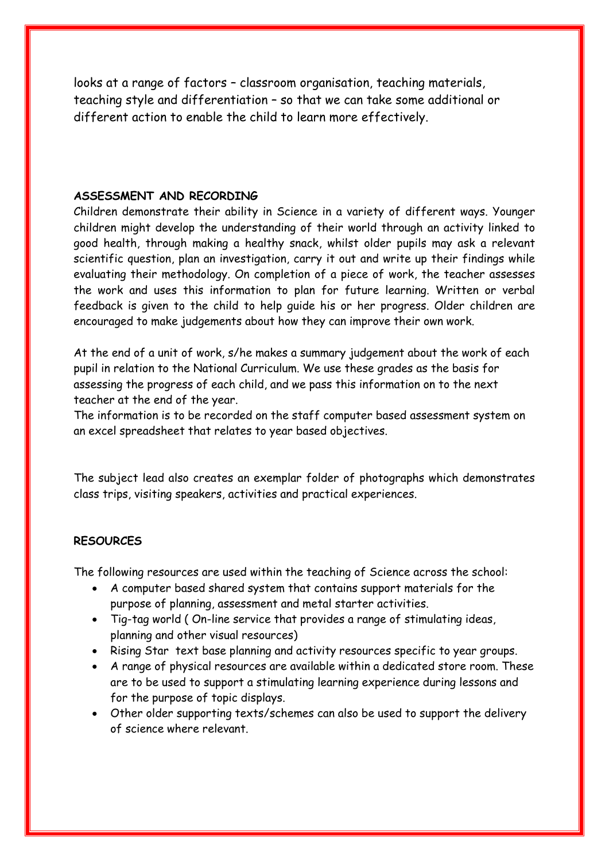looks at a range of factors – classroom organisation, teaching materials, teaching style and differentiation – so that we can take some additional or different action to enable the child to learn more effectively.

#### **ASSESSMENT AND RECORDING**

Children demonstrate their ability in Science in a variety of different ways. Younger children might develop the understanding of their world through an activity linked to good health, through making a healthy snack, whilst older pupils may ask a relevant scientific question, plan an investigation, carry it out and write up their findings while evaluating their methodology. On completion of a piece of work, the teacher assesses the work and uses this information to plan for future learning. Written or verbal feedback is given to the child to help guide his or her progress. Older children are encouraged to make judgements about how they can improve their own work.

At the end of a unit of work, s/he makes a summary judgement about the work of each pupil in relation to the National Curriculum. We use these grades as the basis for assessing the progress of each child, and we pass this information on to the next teacher at the end of the year.

The information is to be recorded on the staff computer based assessment system on an excel spreadsheet that relates to year based objectives.

The subject lead also creates an exemplar folder of photographs which demonstrates class trips, visiting speakers, activities and practical experiences.

## **RESOURCES**

The following resources are used within the teaching of Science across the school:

- A computer based shared system that contains support materials for the purpose of planning, assessment and metal starter activities.
- Tig-tag world ( On-line service that provides a range of stimulating ideas, planning and other visual resources)
- Rising Star text base planning and activity resources specific to year groups.
- A range of physical resources are available within a dedicated store room. These are to be used to support a stimulating learning experience during lessons and for the purpose of topic displays.
- Other older supporting texts/schemes can also be used to support the delivery of science where relevant.